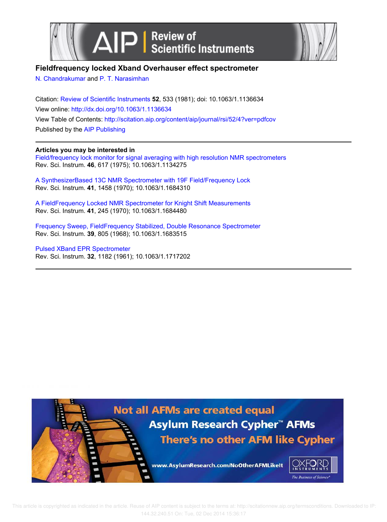



# **Fieldfrequency locked Xband Overhauser effect spectrometer**

N. Chandrakumar and P. T. Narasimhan

Citation: Review of Scientific Instruments **52**, 533 (1981); doi: 10.1063/1.1136634 View online: http://dx.doi.org/10.1063/1.1136634 View Table of Contents: http://scitation.aip.org/content/aip/journal/rsi/52/4?ver=pdfcov Published by the AIP Publishing

# **Articles you may be interested in**

Field/frequency lock monitor for signal averaging with high resolution NMR spectrometers Rev. Sci. Instrum. **46**, 617 (1975); 10.1063/1.1134275

A SynthesizerBased 13C NMR Spectrometer with 19F Field/Frequency Lock Rev. Sci. Instrum. **41**, 1458 (1970); 10.1063/1.1684310

A FieldFrequency Locked NMR Spectrometer for Knight Shift Measurements Rev. Sci. Instrum. **41**, 245 (1970); 10.1063/1.1684480

Frequency Sweep, FieldFrequency Stabilized, Double Resonance Spectrometer Rev. Sci. Instrum. **39**, 805 (1968); 10.1063/1.1683515

Pulsed XBand EPR Spectrometer Rev. Sci. Instrum. **32**, 1182 (1961); 10.1063/1.1717202

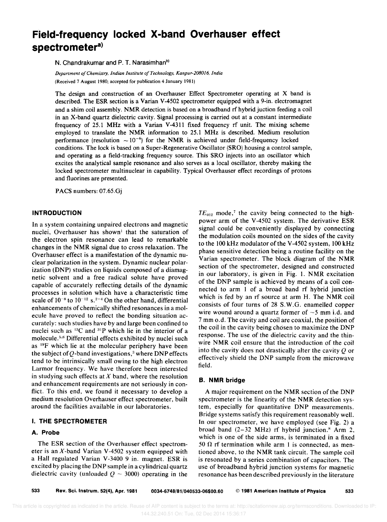# **Field-frequency locked X-band Overhauser effect spectrometer<sup>a</sup> )**

N. Chandrakumar and P. T. Narasimhan<sup>b)</sup>

*Department a/Chemistry, Indian Institute a/Technology, Kanpur-20BOJ6, India*  (Received 7 August 1980; accepted for publication 4 January 1981)

The design and construction of an Overhauser Effect Spectrometer operating at X band is described. The ESR section is a Varian V-4502 spectrometer equipped with a 9-in. electromagnet and a shim coil assembly. NMR detection is based on a broadband rf hybrid juction feeding a coil in an X-band quartz dielectric cavity. Signal processing is carried out at a constant intermediate frequency of 25.1 MHz with a Varian V -4311 fixed frequency rf unit. The mixing scheme employed to translate the NMR information to 25.1 MHz is described. Medium resolution performance (resolution  $\sim 10^{-6}$ ) for the NMR is achieved under field-frequency locked conditions. The lock is based on a Super-Regenerative Oscillator (SRO) housing a control sample, and operating as a field-tracking frequency source. This SRO injects into an oscillator which excites the analytical sample resonance and also serves as a local oscillator, thereby making the locked spectrometer multinuclear in capability. Typical Overhauser effect recordings of protons and fluorines are presented.

PACS numbers: 07.65.Gj

#### **INTRODUCTION**

In a system containing unpaired electrons and magnetic nuclei, Overhauser has shown<sup>1</sup> that the saturation of the electron spin resonance can lead to remarkable changes in the NMR signal due to cross relaxation. The Overhauser effect is a manifestation of the dynamic nuclear polarization in the system. Dynamic nuclear polarization (DNP) studies on liquids composed of a diamagnetic solvent and a free radical solute have proved capable of accurately reflecting details of the dynamic processes in solution which have a characteristic time scale of  $10^{-8}$  to  $10^{-12}$  s.<sup>2-4</sup> On the other hand, differential enhancements of chemically shifted resonances in a molecule have proved to reflect the bonding situation accurately: such studies have by and large been confined to nuclei such as  $^{13}$ C and  $^{31}$ P which lie in the interior of a molecule. <sup>5</sup> . <sup>6</sup>Differential effects exhibited by nuclei such as <sup>19</sup>F which lie at the molecular periphery have been the subject of Q-band investigations,<sup>3</sup> where DNP effects tend to be intrinsically small owing to the high electron Larmor frequency. We have therefore been interested in studying such effects at  $X$  band, where the resolution and enhancement requirements are not seriously in conflict. To this end, we found it necessary to develop a medium resolution Overhauser effect spectrometer, built around the facilities available in our laboratories.

### **I. THE SPECTROMETER**

#### **A. Probe**

The ESR section of the Overhauser effect spectrometer is an  $X$ -band Varian V-4502 system equipped with a Hall regulated Varian V-3400 9 in. magnet. ESR is excited by placing the DNP sample in a cylindrical quartz dielectric cavity (unloaded  $Q \sim 3000$ ) operating in the

 $TE_{012}$  mode,<sup>7</sup> the cavity being connected to the highpower arm of the V -4502 system. The derivative ESR signal could be conveniently displayed by connecting the modulation coils mounted on the sides of the cavity to the 100 kHz modulator of the V -4502 system, 100 kHz phase sensitive detection being a routine facility on the Varian spectrometer. The block diagram of the NMR section of the spectrometer, designed and constructed in our laboratory, is given in Fig. 1. NMR excitation of the DNP sample is achieved by means of a coil connected to arm 1 of a broad band rf hybrid junction which is fed by an rf source at arm H. The NMR coil consists of four turns of 28 S. W. G. enamelled copper wire wound around a quartz former of  $\sim$ 5 mm i.d. and 7 mm o.d. The cavity and coil are coaxial, the position of the coil in the cavity being chosen to maximize the DNP response. The use of the dielectric cavity and the thinwire NMR coil ensure that the introduction of the coil into the cavity does not drastically alter the cavity  $\ddot{\theta}$  or effectively shield the DNP sample from the microwave field.

## **B. NMR bridge**

A major requirement on the NMR section of the DNP spectrometer is the linearity of the NMR detection system, especially for quantitative DNP measurements. Bridge systems satisfy this requirement reasonably well. In our spectrometer, we have employed (see Fig. 2) a broad band  $(2-32 \text{ MHz})$  rf hybrid junction.<sup>8</sup> Arm 2, which is one of the side arms, is terminated in a fixed 50  $\Omega$  rf termination while arm 1 is connected, as mentioned above, to the NMR tank circuit. The sample coil is resonated by a series combination of capacitors. The use of broadband hybrid junction systems for magnetic resonance has been described previously in the literature

533 Rev. Sci. Instrum. 52(4), Apr. 1981 0034-6748/81/040533·06\$00.60 © 1981 American Institute of Physics 533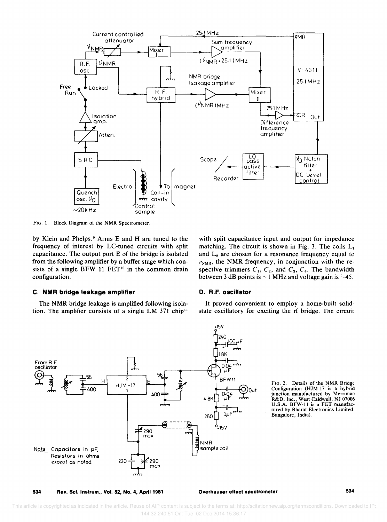

FIG. I. Block Diagram of the NMR Spectrometer.

by Klein and Phelps.9 Arms E and H are tuned to the frequency of interest by LC-tuned circuits with split capacitance. The output port E of the bridge is isolated from the following amplifier by a buffer stage which consists of a single BFW 11  $FET<sup>10</sup>$  in the common drain configuration.

#### C. **NMR** bridge leakage amplifier

The NMR bridge leakage is amplified following isolation. The amplifier consists of a single LM 371  $chip<sup>11</sup>$  with split capacitance input and output for impedance matching. The circuit is shown in Fig. 3. The coils  $L_1$ and  $L<sub>2</sub>$  are chosen for a resonance frequency equal to  $\nu_{NMR}$ , the NMR frequency, in conjunction with the respective trimmers  $C_1$ ,  $C_2$ , and  $C_3$ ,  $C_4$ . The bandwidth between 3 dB points is  $\sim$  1 MHz and voltage gain is  $\sim$ 45.

#### D. R.F. oscillator

It proved convenient to employ a home-built solidstate oscillatory for exciting the rf bridge. The circuit



Configuration (HJM-17 is a hybrid junction manufactured by Merrimac R&D, Inc., West Caldwell, NJ 07006 U.S.A. BFW-ll is a FET manufactured by Bharat Electronics Limited. Bangaiore, India).

534 Rev. Sci. Instrum., Vol. 52, No.4, April 1981 Overhauser eHect spectrometer 534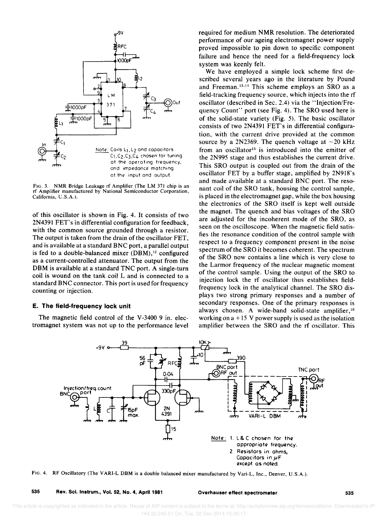

FIG. 3. NMR Bridge Leakage rf Amplifier (The LM 371 chip is an rf Amplifier manufactured by National Semiconductor Corporation, California, U.S.A.).

of this oscillator is shown in Fig. 4. It consists of two 2N4391 FET's in differential configuration for feedback, with the common source grounded through a resistor. The output is taken from the drain of the oscillator FET, and is available at a standard BNC port, a parallel output is fed to a double-balanced mixer  $(DBM)$ ,<sup>12</sup> configured as a current-controlled attenuator. The output from the DBM is available at a standard TNC port. A single-turn coil is wound on the tank coil L and is connected to a standard BNC connector. This port is used for frequency counting or injection.

#### **E. The field-frequency lock unit**

The magnetic field control of the V-3400 9 in. electromagnet system was not up to the performance level required for medium NMR resolution. The deteriorated performance of our ageing electromagnet power supply proved impossible to pin down to specific component failure and hence the need for a field-frequency lock system was keenly felt.

We have employed a simple lock scheme first described several years ago in the literature by Pound and Freeman.<sup>13,14</sup> This scheme employs an SRO as a field-tracking frequency source, which injects into the rf oscillator (described in Sec. 2.4) via the "Injection/Frequency Count" port (see Fig. 4). The SRO used here is of the solid-state variety (Fig. 5). The basic oscillator consists of two 2N4391 FET's in differential configuration, with the current drive provided at the common source by a 2N2369. The quench voltage at  $\sim$ 20 kHz from an oscillator<sup>15</sup> is introduced into the emitter of the 2N995 stage and thus establishes the current drive. This SRO output is coupled out from the drain of the oscillator FET by a buffer stage, amplified by 2N918's and made available at a standard BNC port. The resonant coil of the SRO tank, housing the control sample, is placed in the electromagnet gap, while the box housing the electronics of the SRO itself is kept well outside the magnet. The quench and bias voltages of the SRO are adjusted for the incoherent mode of the SRO, as seen on the oscilloscope. When the magnetic field satisfies the resonance condition of the control sample with respect to a frequency component present in the noise spectrum of the SRO it becomes coherent. The spectrum of the SRO now contains a line which is very close to the Larmor frequency of the nuclear magnetic moment of the control sample. Using the output of the SRO to injection lock the rf oscillator thus establishes fieldfrequency lock in the analytical channel. The SRO displays two strong primary responses and a number of secondary responses. One of the primary responses is always chosen. A wide-band solid-state amplifier, 16 working on  $a + 15$  V power supply is used as the isolation amplifier between the SRO and the rf oscillator. This



FIG. 4. RF Oscillatory (The VARI-L DBM is a double balanced mixer manufactured by Vari-L, Inc., Denver, U.S.A.).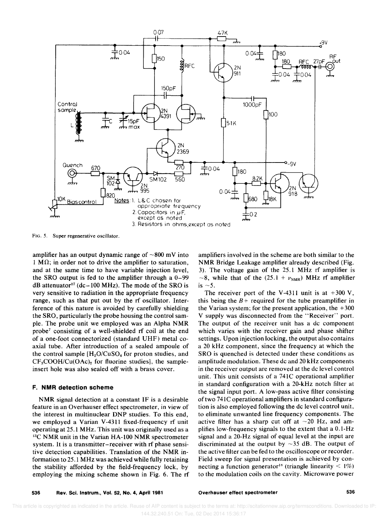

FIG. 5. Super regenerative oscillator.

amplifier has an output dynamic range of  $\sim 800$  mV into  $1 M\Omega$ ; in order not to drive the amplifier to saturation, and at the same time to have variable injection level, the SRO output is fed to the amplifier through a 0-99  $dB$  attenuator<sup>17</sup> (dc-100 MHz). The mode of the SRO is very sensitive to radiation in the appropriate frequency range, such as that put out by the rf oscillator. Interference of this nature is avoided by carefully shielding the SRO, particularly the probe housing the control sample. The probe unit we employed was an Alpha NMR probe7 consisting of a well-shielded rf coil at the end of a one-foot connectorized (standard UHF) metal coaxial tube. After introduction of a sealed ampoule of the control sample [H*2*0/CuS0*4* for proton studies, and  $CF<sub>3</sub>COOH/Cu(OAc)<sub>2</sub>$  for fluorine studies], the sampleinsert hole was also sealed off with a brass cover.

#### F. **NMR** detection scheme

NMR signal detection at a constant IF is a desirable feature in an Overhauser effect spectrometer, in view of the interest in multinuclear DNP studies. To this end, we employed a Varian V-4311 fixed-frequency rf unit operating at 25.1 MHz. This unit was originally used as a <sup>13</sup>C NMR unit in the Varian HA-100 NMR spectrometer system. It is a transmitter-receiver with rf phase sensitive detection capabilities. Translation of the NMR information to 25.1 MHz was achieved while fully retaining the stability afforded by the field-frequency lock, by employing the mixing scheme shown in Fig. 6. The rf

amplifiers involved in the scheme are both similar to the NMR Bridge Leakage amplifier already described (Fig. 3). The voltage gain of the 25.1 MHz rf amplifier is  $\sim$ 8, while that of the (25.1 +  $\nu_{NMR}$ ) MHz rf amplifier is  $\sim$  5.

The receiver port of the V-4311 unit is at  $+300$  V, this being the  $B$  + required for the tube preamplifier in the Varian system; for the present application, the  $+300$ V supply was disconnected from the "Receiver" port. The output of the receiver unit has a dc component which varies with the receiver gain and phase shifter settings. Upon injection locking, the output also contains a 20 kHz component, since the frequency at which the SRO is quenched is detected under these conditions as amplitude modulation. These dc and 20 kHz components in the receiver output are removed at the dc level control unit. This unit consists of a 741C operational amplifier in standard configuration with a 20-kHz notch filter at the signal input port. A low-pass active filter consisting of two 741C operational amplifiers in standard configuration is also employed following the dc level control unit, to eliminate unwanted line frequency components. The active filter has a sharp cut off at  $\sim$ 20 Hz, and amplifies low-frequency signals to the extent that a O.I-Hz signal and a 20-Hz signal of equal level at the input are discriminated at the output by  $\sim$ 35 dB. The output of the active filter can be fed to the oscilloscope or recorder. Field sweep for signal presentation is achieved by connecting a function generator<sup>18</sup> (triangle linearity  $\leq 1\%$ ) to the modulation coils on the cavity. Microwave power

Overhauser effect spectrometer many states and the 536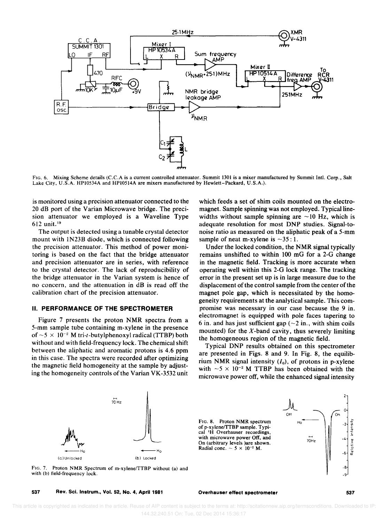

FIG. 6. Mixing Scheme details (C.C.A is a current controlled attenuator. Summit 1301 is a mixer manufactured by Summit Intl. Corp., Salt Lake City, U.S.A. HPl0534A and HPI0514A are mixers manufactured by Hewlett-Packard, U.S.A.).

is monitored using a precision attenuator connected to the 20 dB port of the Varian Microwave bridge. The precision attenuator we employed is a Waveline Type 612 unit. <sup>19</sup>

The output is detected using a tunable crystal detector mount with IN23B diode, which is connected following the precision attenuator. This method of power monitoring is based on the fact that the bridge attenuator and precision attenuator are in series, with reference to the crystal detector. The lack of reproducibility of the bridge attenuator in the Varian system is hence of no concern, and the attenuation in dB is read off the calibration chart of the precision attenuator.

#### II. **PERFORMANCE OF THE SPECTROMETER**

Figure 7 presents the proton NMR spectra from a 5-mm sample tube containing m-xylene in the presence of  $\sim$  5  $\times$  10<sup>-2</sup> M tri-t-butylphenoxyl radical (TTBP) both without and with field-frequency lock. The chemical shift between the aliphatic and aromatic protons is 4.6 ppm in this case. The spectra were recorded after optimizing the magnetic field homogeneity at the sample by adjusting the homogeneity controls of the Varian VK-3532 unit which feeds a set of shim coils mounted on the electromagnet. Sample spinning was not employed. Typical linewidths without sample spinning are  $\sim$ 10 Hz, which is adequate resolution for most DNP studies. Signal-tonoise ratio as measured on the aliphatic peak of a 5-mm sample of neat m-xylene is  $\sim$ 35:1.

Under the locked condition, the NMR signal typically remains un shifted to within 100 mG for a 2-G change in the magnetic field. Tracking is more accurate when operating well within this 2-G lock range. The tracking error in the present set up is in large measure due to the displacement of the control sample from the center of the magnet pole gap, which is necessitated by the homogeneity requirements at the analytical sample. This compromise was necessary in our case because the 9 in. electromagnet is equipped with pole faces tapering to 6 in. and has just sufficient gap  $(-2$  in., with shim coils mounted) for the  $X$ -band cavity, thus severely limiting the homogeneous region of the magnetic field.

Typical DNP results obtained on this spectrometer are presented in Figs. 8 and 9. In Fig. 8, the equilibrium NMR signal intensity  $(I_0)$ , of protons in p-xylene with  $-5 \times 10^{-2}$  M TTBP has been obtained with the microwave power off, while the enhanced signal intensity



FIG. 7. Proton NMR Spectrum of m-xylene/TTBP without (a) and with (b) field-frequency lock.

FIG. 8. Proton NMR spectrum of p-xylene/TTBP sample. Typical <sup>1</sup>H Overhauser recordings, with microwave power Off, and On (arbitrary levels )are shown. Radial conc.  $\sim 5 \times 10^{-2}$  M.



537 Rev. Sci. Instrum., Vol. 52, No.4, April 1981

Overhauser effect spectrometer